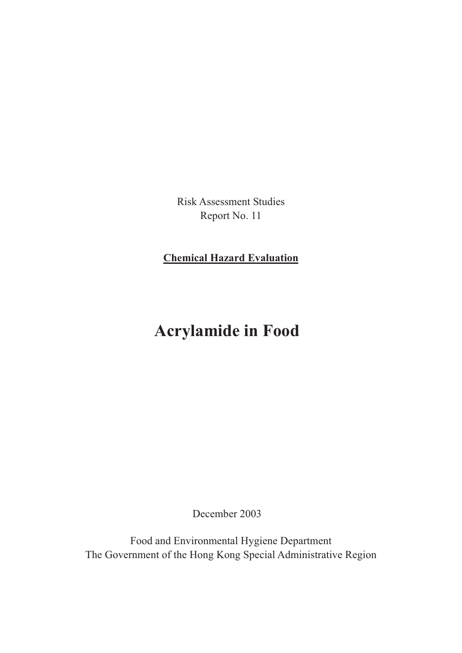Risk Assessment Studies Report No. 11

**Chemical Hazard Evaluation**

# **Acrylamide in Food**

December 2003

Food and Environmental Hygiene Department The Government of the Hong Kong Special Administrative Region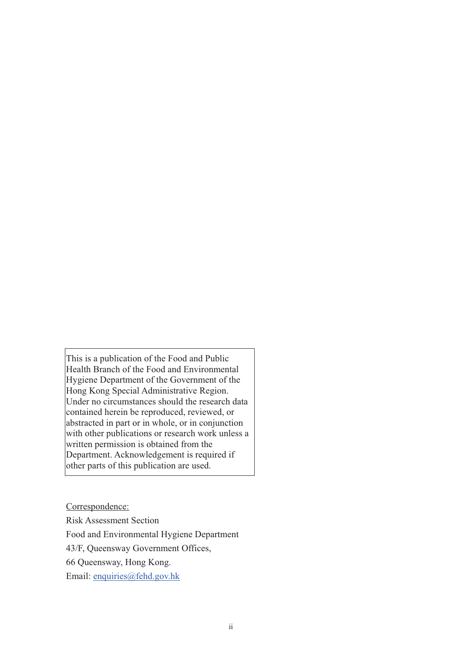This is a publication of the Food and Public Health Branch of the Food and Environmental Hygiene Department of the Government of the Hong Kong Special Administrative Region. Under no circumstances should the research data contained herein be reproduced, reviewed, or abstracted in part or in whole, or in conjunction with other publications or research work unless a written permission is obtained from the Department. Acknowledgement is required if other parts of this publication are used.

Correspondence:

Risk Assessment Section Food and Environmental Hygiene Department 43/F, Queensway Government Offices, 66 Queensway, Hong Kong. Email: enquiries@fehd.gov.hk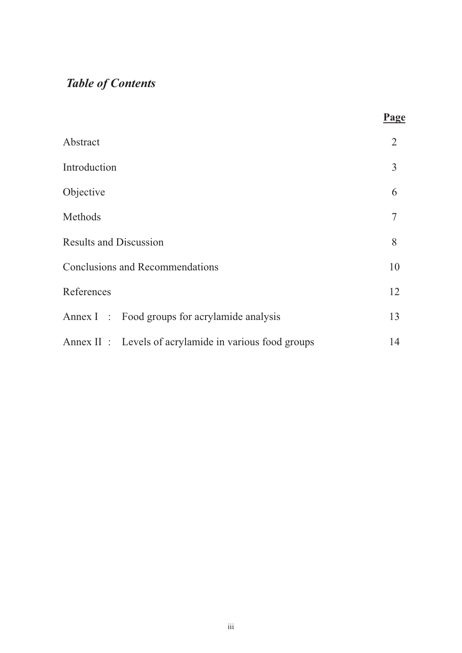# *Table of Contents*

|                                                        | Page |  |  |  |
|--------------------------------------------------------|------|--|--|--|
| Abstract                                               | 2    |  |  |  |
| Introduction                                           | 3    |  |  |  |
| Objective                                              | 6    |  |  |  |
| Methods                                                | 7    |  |  |  |
| <b>Results and Discussion</b>                          |      |  |  |  |
| <b>Conclusions and Recommendations</b>                 |      |  |  |  |
| References                                             | 12   |  |  |  |
| Annex I : Food groups for acrylamide analysis          | 13   |  |  |  |
| Annex II : Levels of acrylamide in various food groups | 14   |  |  |  |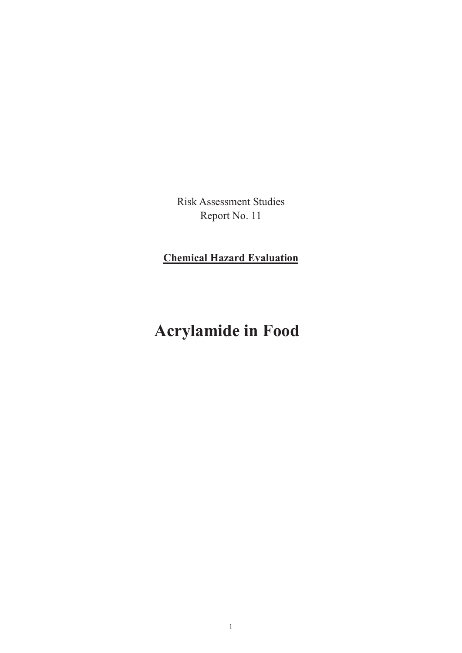Risk Assessment Studies Report No. 11

**Chemical Hazard Evaluation**

# **Acrylamide in Food**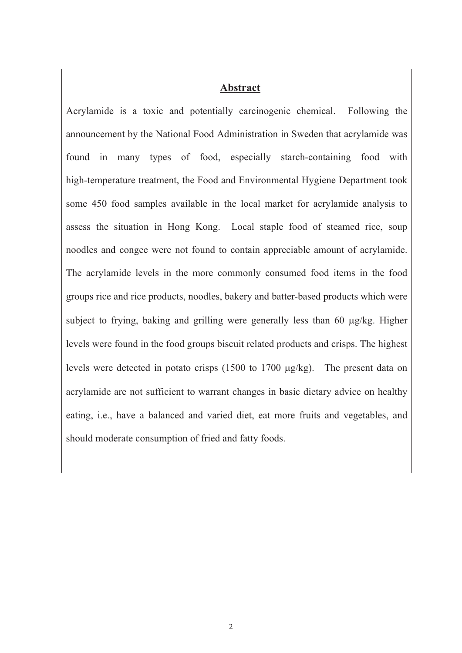#### **Abstract**

Acrylamide is a toxic and potentially carcinogenic chemical. Following the announcement by the National Food Administration in Sweden that acrylamide was found in many types of food, especially starch-containing food with high-temperature treatment, the Food and Environmental Hygiene Department took some 450 food samples available in the local market for acrylamide analysis to assess the situation in Hong Kong. Local staple food of steamed rice, soup noodles and congee were not found to contain appreciable amount of acrylamide. The acrylamide levels in the more commonly consumed food items in the food groups rice and rice products, noodles, bakery and batter-based products which were subject to frying, baking and grilling were generally less than 60  $\mu$ g/kg. Higher levels were found in the food groups biscuit related products and crisps. The highest levels were detected in potato crisps  $(1500$  to  $1700 \mu g/kg)$ . The present data on acrylamide are not sufficient to warrant changes in basic dietary advice on healthy eating, i.e., have a balanced and varied diet, eat more fruits and vegetables, and should moderate consumption of fried and fatty foods.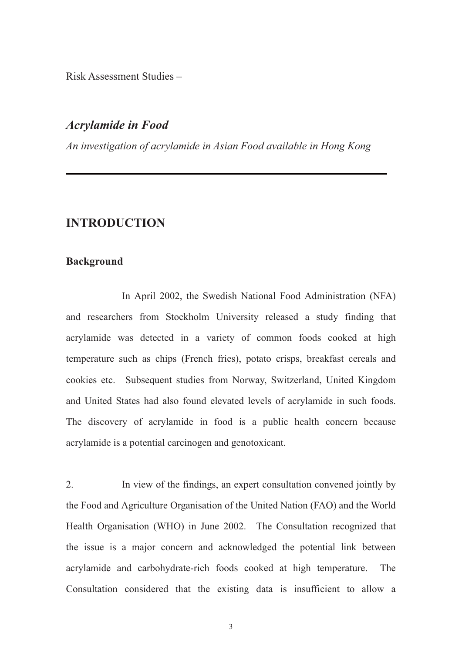Risk Assessment Studies –

# *Acrylamide in Food*

*An investigation of acrylamide in Asian Food available in Hong Kong*

# **INTRODUCTION**

#### **Background**

 In April 2002, the Swedish National Food Administration (NFA) and researchers from Stockholm University released a study finding that acrylamide was detected in a variety of common foods cooked at high temperature such as chips (French fries), potato crisps, breakfast cereals and cookies etc. Subsequent studies from Norway, Switzerland, United Kingdom and United States had also found elevated levels of acrylamide in such foods. The discovery of acrylamide in food is a public health concern because acrylamide is a potential carcinogen and genotoxicant.

2. In view of the findings, an expert consultation convened jointly by the Food and Agriculture Organisation of the United Nation (FAO) and the World Health Organisation (WHO) in June 2002. The Consultation recognized that the issue is a major concern and acknowledged the potential link between acrylamide and carbohydrate-rich foods cooked at high temperature. The Consultation considered that the existing data is insufficient to allow a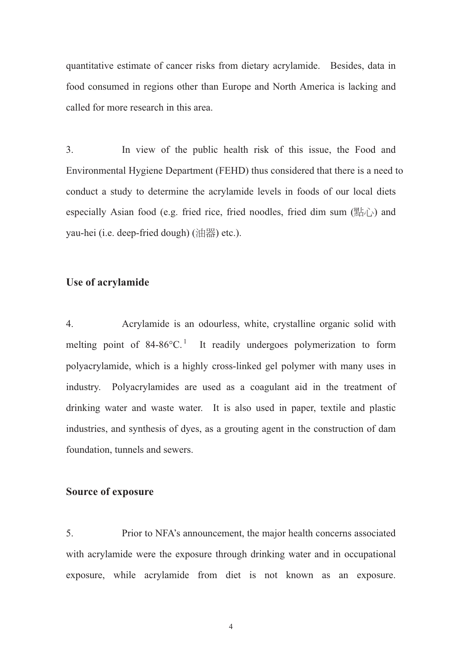quantitative estimate of cancer risks from dietary acrylamide. Besides, data in food consumed in regions other than Europe and North America is lacking and called for more research in this area.

3. In view of the public health risk of this issue, the Food and Environmental Hygiene Department (FEHD) thus considered that there is a need to conduct a study to determine the acrylamide levels in foods of our local diets especially Asian food (e.g. fried rice, fried noodles, fried dim sum  $(\mathbb{R}^1)$ ) and yau-hei (i.e. deep-fried dough) (油器) etc.).

#### **Use of acrylamide**

4. Acrylamide is an odourless, white, crystalline organic solid with melting point of  $84-86^{\circ}$ C.<sup>1</sup> It readily undergoes polymerization to form polyacrylamide, which is a highly cross-linked gel polymer with many uses in industry. Polyacrylamides are used as a coagulant aid in the treatment of drinking water and waste water. It is also used in paper, textile and plastic industries, and synthesis of dyes, as a grouting agent in the construction of dam foundation, tunnels and sewers.

#### **Source of exposure**

5. Prior to NFA's announcement, the major health concerns associated with acrylamide were the exposure through drinking water and in occupational exposure, while acrylamide from diet is not known as an exposure.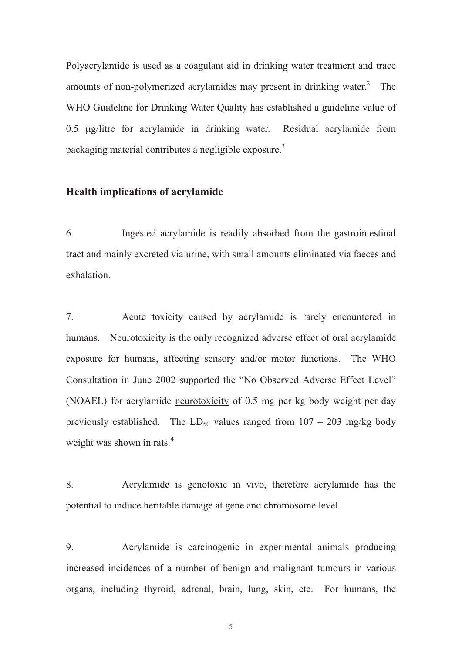Polyacrylamide is used as a coagulant aid in drinking water treatment and trace amounts of non-polymerized acrylamides may present in drinking water. $2$  The WHO Guideline for Drinking Water Quality has established a guideline value of 0.5 µg/litre for acrylamide in drinking water. Residual acrylamide from packaging material contributes a negligible exposure.<sup>3</sup>

#### **Health implications of acrylamide**

6. Ingested acrylamide is readily absorbed from the gastrointestinal tract and mainly excreted via urine, with small amounts eliminated via faeces and exhalation.

7. Acute toxicity caused by acrylamide is rarely encountered in humans. Neurotoxicity is the only recognized adverse effect of oral acrylamide exposure for humans, affecting sensory and/or motor functions. The WHO Consultation in June 2002 supported the "No Observed Adverse Effect Level" (NOAEL) for acrylamide neurotoxicity of 0.5 mg per kg body weight per day previously established. The  $LD_{50}$  values ranged from  $107 - 203$  mg/kg body weight was shown in rats.<sup>4</sup>

8. Acrylamide is genotoxic in vivo, therefore acrylamide has the potential to induce heritable damage at gene and chromosome level.

9. Acrylamide is carcinogenic in experimental animals producing increased incidences of a number of benign and malignant tumours in various organs, including thyroid, adrenal, brain, lung, skin, etc. For humans, the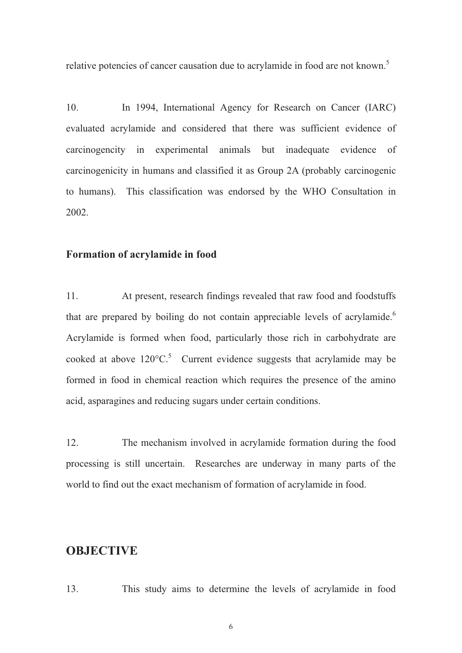relative potencies of cancer causation due to acrylamide in food are not known.<sup>5</sup>

10. In 1994, International Agency for Research on Cancer (IARC) evaluated acrylamide and considered that there was sufficient evidence of carcinogencity in experimental animals but inadequate evidence of carcinogenicity in humans and classified it as Group 2A (probably carcinogenic to humans). This classification was endorsed by the WHO Consultation in 2002.

#### **Formation of acrylamide in food**

11. At present, research findings revealed that raw food and foodstuffs that are prepared by boiling do not contain appreciable levels of acrylamide.<sup>6</sup> Acrylamide is formed when food, particularly those rich in carbohydrate are cooked at above  $120^{\circ}$ C.<sup>5</sup> Current evidence suggests that acrylamide may be formed in food in chemical reaction which requires the presence of the amino acid, asparagines and reducing sugars under certain conditions.

12. The mechanism involved in acrylamide formation during the food processing is still uncertain. Researches are underway in many parts of the world to find out the exact mechanism of formation of acrylamide in food.

# **OBJECTIVE**

13. This study aims to determine the levels of acrylamide in food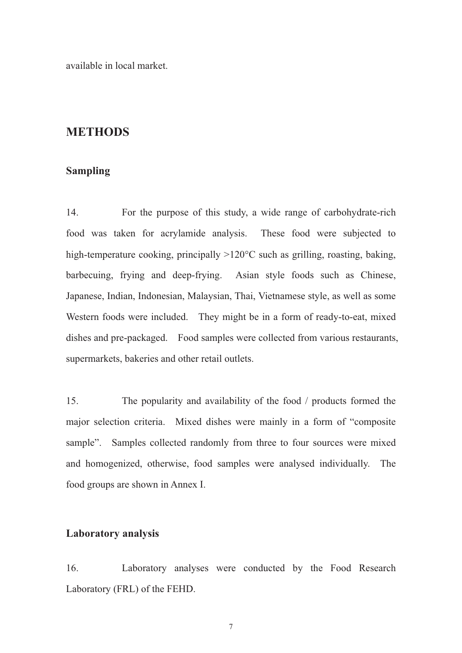available in local market.

### **METHODS**

### **Sampling**

14. For the purpose of this study, a wide range of carbohydrate-rich food was taken for acrylamide analysis. These food were subjected to high-temperature cooking, principally  $>120^{\circ}$ C such as grilling, roasting, baking, barbecuing, frying and deep-frying. Asian style foods such as Chinese, Japanese, Indian, Indonesian, Malaysian, Thai, Vietnamese style, as well as some Western foods were included. They might be in a form of ready-to-eat, mixed dishes and pre-packaged. Food samples were collected from various restaurants, supermarkets, bakeries and other retail outlets.

15. The popularity and availability of the food / products formed the major selection criteria. Mixed dishes were mainly in a form of "composite sample". Samples collected randomly from three to four sources were mixed and homogenized, otherwise, food samples were analysed individually. The food groups are shown in Annex I.

### **Laboratory analysis**

16. Laboratory analyses were conducted by the Food Research Laboratory (FRL) of the FEHD.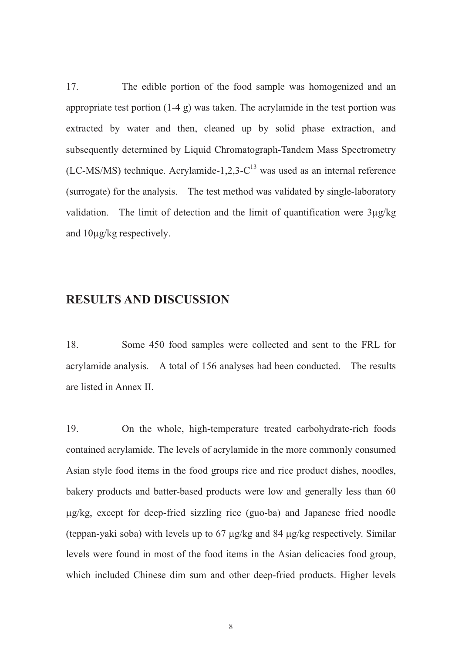17. The edible portion of the food sample was homogenized and an appropriate test portion  $(1-4 \, g)$  was taken. The acrylamide in the test portion was extracted by water and then, cleaned up by solid phase extraction, and subsequently determined by Liquid Chromatograph-Tandem Mass Spectrometry  $(LC-MS/MS)$  technique. Acrylamide-1,2,3- $C^{13}$  was used as an internal reference (surrogate) for the analysis. The test method was validated by single-laboratory validation. The limit of detection and the limit of quantification were 3µg/kg and 10µg/kg respectively.

# **RESULTS AND DISCUSSION**

18. Some 450 food samples were collected and sent to the FRL for acrylamide analysis. A total of 156 analyses had been conducted. The results are listed in Annex II.

19. On the whole, high-temperature treated carbohydrate-rich foods contained acrylamide. The levels of acrylamide in the more commonly consumed Asian style food items in the food groups rice and rice product dishes, noodles, bakery products and batter-based products were low and generally less than 60 -g/kg, except for deep-fried sizzling rice (guo-ba) and Japanese fried noodle (teppan-yaki soba) with levels up to  $67 \mu g/kg$  and  $84 \mu g/kg$  respectively. Similar levels were found in most of the food items in the Asian delicacies food group, which included Chinese dim sum and other deep-fried products. Higher levels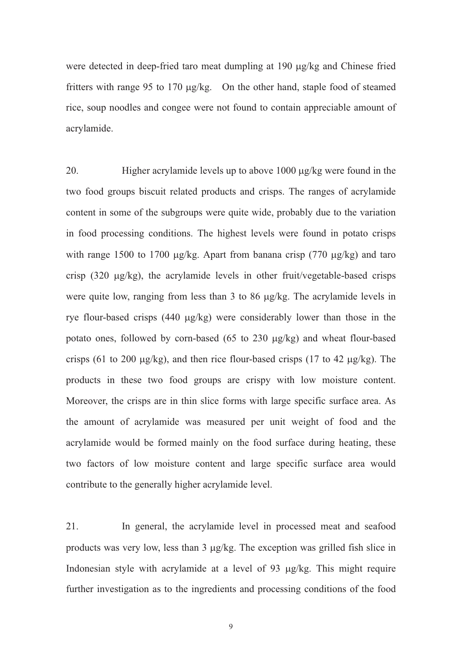were detected in deep-fried taro meat dumpling at 190 µg/kg and Chinese fried fritters with range 95 to 170 µg/kg. On the other hand, staple food of steamed rice, soup noodles and congee were not found to contain appreciable amount of acrylamide.

20. Higher acrylamide levels up to above  $1000 \mu g/kg$  were found in the two food groups biscuit related products and crisps. The ranges of acrylamide content in some of the subgroups were quite wide, probably due to the variation in food processing conditions. The highest levels were found in potato crisps with range 1500 to 1700  $\mu$ g/kg. Apart from banana crisp (770  $\mu$ g/kg) and taro crisp (320 µg/kg), the acrylamide levels in other fruit/vegetable-based crisps were quite low, ranging from less than  $3$  to  $86 \mu g/kg$ . The acrylamide levels in rye flour-based crisps (440 µg/kg) were considerably lower than those in the potato ones, followed by corn-based  $(65$  to  $230 \mu g/kg)$  and wheat flour-based crisps (61 to 200  $\mu$ g/kg), and then rice flour-based crisps (17 to 42  $\mu$ g/kg). The products in these two food groups are crispy with low moisture content. Moreover, the crisps are in thin slice forms with large specific surface area. As the amount of acrylamide was measured per unit weight of food and the acrylamide would be formed mainly on the food surface during heating, these two factors of low moisture content and large specific surface area would contribute to the generally higher acrylamide level.

21. In general, the acrylamide level in processed meat and seafood products was very low, less than 3 µg/kg. The exception was grilled fish slice in Indonesian style with acrylamide at a level of 93 µg/kg. This might require further investigation as to the ingredients and processing conditions of the food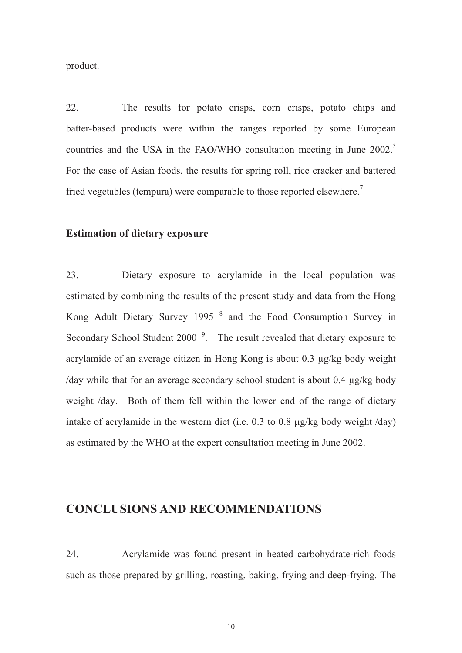product.

22. The results for potato crisps, corn crisps, potato chips and batter-based products were within the ranges reported by some European countries and the USA in the FAO/WHO consultation meeting in June 2002.<sup>5</sup> For the case of Asian foods, the results for spring roll, rice cracker and battered fried vegetables (tempura) were comparable to those reported elsewhere.<sup>7</sup>

#### **Estimation of dietary exposure**

23. Dietary exposure to acrylamide in the local population was estimated by combining the results of the present study and data from the Hong Kong Adult Dietary Survey 1995<sup>8</sup> and the Food Consumption Survey in Secondary School Student 2000<sup>9</sup>. The result revealed that dietary exposure to acrylamide of an average citizen in Hong Kong is about 0.3 µg/kg body weight /day while that for an average secondary school student is about 0.4 µg/kg body weight /day. Both of them fell within the lower end of the range of dietary intake of acrylamide in the western diet (i.e. 0.3 to 0.8 µg/kg body weight /day) as estimated by the WHO at the expert consultation meeting in June 2002.

# **CONCLUSIONS AND RECOMMENDATIONS**

24. Acrylamide was found present in heated carbohydrate-rich foods such as those prepared by grilling, roasting, baking, frying and deep-frying. The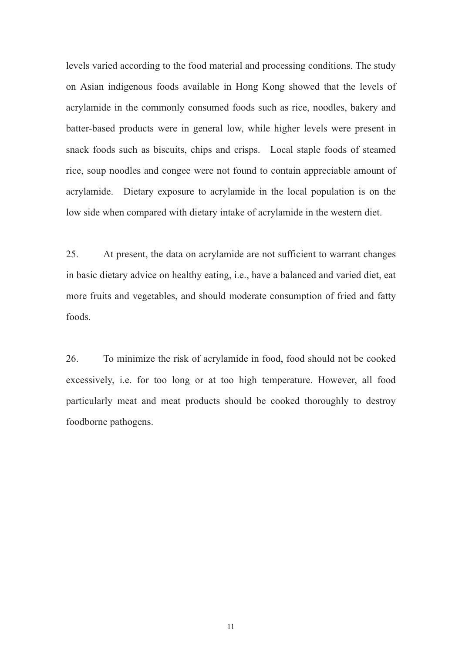levels varied according to the food material and processing conditions. The study on Asian indigenous foods available in Hong Kong showed that the levels of acrylamide in the commonly consumed foods such as rice, noodles, bakery and batter-based products were in general low, while higher levels were present in snack foods such as biscuits, chips and crisps. Local staple foods of steamed rice, soup noodles and congee were not found to contain appreciable amount of acrylamide. Dietary exposure to acrylamide in the local population is on the low side when compared with dietary intake of acrylamide in the western diet.

25. At present, the data on acrylamide are not sufficient to warrant changes in basic dietary advice on healthy eating, i.e., have a balanced and varied diet, eat more fruits and vegetables, and should moderate consumption of fried and fatty foods.

26. To minimize the risk of acrylamide in food, food should not be cooked excessively, i.e. for too long or at too high temperature. However, all food particularly meat and meat products should be cooked thoroughly to destroy foodborne pathogens.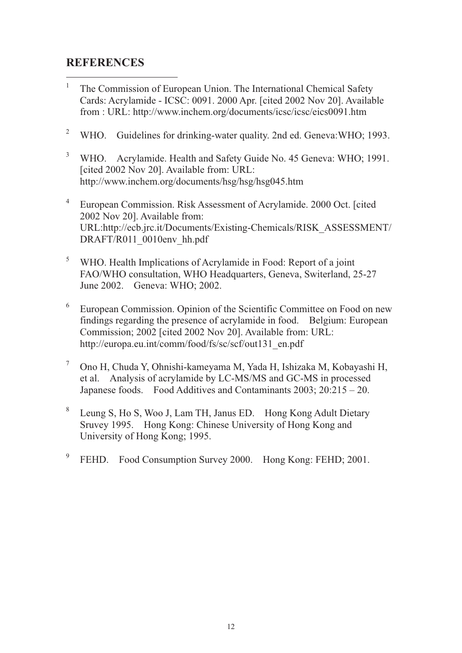# **REFERENCES**

- 1 The Commission of European Union. The International Chemical Safety Cards: Acrylamide - ICSC: 0091. 2000 Apr. [cited 2002 Nov 20]. Available from : URL: http://www.inchem.org/documents/icsc/icsc/eics0091.htm
- 2 WHO. Guidelines for drinking-water quality. 2nd ed. Geneva: WHO: 1993.
- 3 WHO. Acrylamide. Health and Safety Guide No. 45 Geneva: WHO; 1991. [cited 2002 Nov 20]. Available from: URL: http://www.inchem.org/documents/hsg/hsg/hsg045.htm
- 4 European Commission. Risk Assessment of Acrylamide. 2000 Oct. [cited 2002 Nov 20]. Available from: URL:http://ecb.jrc.it/Documents/Existing-Chemicals/RISK\_ASSESSMENT/ DRAFT/R011\_0010env\_hh.pdf
- 5 WHO. Health Implications of Acrylamide in Food: Report of a joint FAO/WHO consultation, WHO Headquarters, Geneva, Switerland, 25-27 June 2002. Geneva: WHO; 2002.
- 6 European Commission. Opinion of the Scientific Committee on Food on new findings regarding the presence of acrylamide in food. Belgium: European Commission; 2002 [cited 2002 Nov 20]. Available from: URL: http://europa.eu.int/comm/food/fs/sc/scf/out131\_en.pdf
- 7 Ono H, Chuda Y, Ohnishi-kameyama M, Yada H, Ishizaka M, Kobayashi H, et al. Analysis of acrylamide by LC-MS/MS and GC-MS in processed Japanese foods. Food Additives and Contaminants 2003; 20:215 – 20.
- 8 Leung S, Ho S, Woo J, Lam TH, Janus ED. Hong Kong Adult Dietary Sruvey 1995. Hong Kong: Chinese University of Hong Kong and University of Hong Kong; 1995.
- 9 FEHD. Food Consumption Survey 2000. Hong Kong: FEHD; 2001.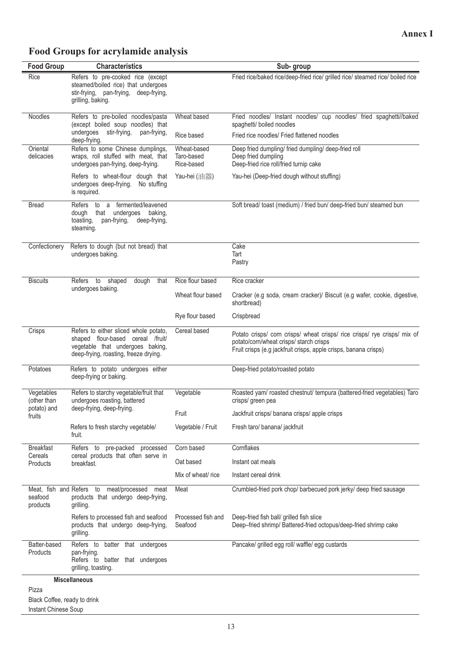# **Food Groups for acrylamide analysis**

| <b>Food Group</b>                                             | <b>Characteristics</b>                                                                                                                                  | Sub-group                               |                                                                                                                                                                                          |  |  |  |
|---------------------------------------------------------------|---------------------------------------------------------------------------------------------------------------------------------------------------------|-----------------------------------------|------------------------------------------------------------------------------------------------------------------------------------------------------------------------------------------|--|--|--|
| Rice                                                          | Refers to pre-cooked rice (except<br>steamed/boiled rice) that undergoes<br>stir-frying, pan-frying, deep-frying,<br>grilling, baking.                  |                                         | Fried rice/baked rice/deep-fried rice/ grilled rice/ steamed rice/ boiled rice                                                                                                           |  |  |  |
| Noodles                                                       | Refers to pre-boiled noodles/pasta<br>(except boiled soup noodles) that<br>undergoes stir-frying,<br>pan-frying,                                        | Wheat based                             | Fried noodles/ Instant noodles/ cup noodles/ fried spaghetti//baked<br>spaghetti/ boiled noodles                                                                                         |  |  |  |
|                                                               | deep-frying.                                                                                                                                            | Rice based                              | Fried rice noodles/ Fried flattened noodles                                                                                                                                              |  |  |  |
| Oriental<br>delicacies                                        | Refers to some Chinese dumplings,<br>wraps, roll stuffed with meat, that<br>undergoes pan-frying, deep-frying.                                          | Wheat-based<br>Taro-based<br>Rice-based | Deep fried dumpling/ fried dumpling/ deep-fried roll<br>Deep fried dumpling<br>Deep-fried rice roll/fried turnip cake                                                                    |  |  |  |
|                                                               | Refers to wheat-flour dough that<br>undergoes deep-frying.<br>No stuffing<br>is required.                                                               | Yau-hei (油器)                            | Yau-hei (Deep-fried dough without stuffing)                                                                                                                                              |  |  |  |
| <b>Bread</b>                                                  | to a fermented/leavened<br>Refers<br>undergoes<br>baking,<br>dough that<br>toasting,<br>pan-frying,<br>deep-frying,<br>steaming.                        |                                         | Soft bread/ toast (medium) / fried bun/ deep-fried bun/ steamed bun                                                                                                                      |  |  |  |
| Confectionery                                                 | Refers to dough (but not bread) that<br>undergoes baking.                                                                                               |                                         | Cake<br>Tart<br>Pastry                                                                                                                                                                   |  |  |  |
| <b>Biscuits</b>                                               | dough<br>that<br>Refers to shaped                                                                                                                       | Rice flour based                        | Rice cracker                                                                                                                                                                             |  |  |  |
|                                                               | undergoes baking.                                                                                                                                       | Wheat flour based                       | Cracker (e.g soda, cream cracker)/ Biscuit (e.g wafer, cookie, digestive,<br>shortbread)                                                                                                 |  |  |  |
|                                                               |                                                                                                                                                         | Rye flour based                         | Crispbread                                                                                                                                                                               |  |  |  |
| Crisps                                                        | Refers to either sliced whole potato,<br>shaped flour-based cereal /fruit/<br>vegetable that undergoes baking,<br>deep-frying, roasting, freeze drying. | Cereal based                            | Potato crisps/ corn crisps/ wheat crisps/ rice crisps/ rye crisps/ mix of<br>potato/corn/wheat crisps/ starch crisps<br>Fruit crisps (e.g jackfruit crisps, apple crisps, banana crisps) |  |  |  |
| Potatoes                                                      | Refers to potato undergoes either<br>deep-frying or baking.                                                                                             |                                         | Deep-fried potato/roasted potato                                                                                                                                                         |  |  |  |
| Vegetables<br>(other than                                     | Refers to starchy vegetable/fruit that<br>undergoes roasting, battered                                                                                  | Vegetable                               | Roasted yam/ roasted chestnut/ tempura (battered-fried vegetables) Taro<br>crisps/ green pea                                                                                             |  |  |  |
| potato) and<br>fruits                                         | deep-frying, deep-frying.                                                                                                                               | Fruit                                   | Jackfruit crisps/ banana crisps/ apple crisps                                                                                                                                            |  |  |  |
|                                                               | Refers to fresh starchy vegetable/<br>fruit.                                                                                                            | Vegetable / Fruit                       | Fresh taro/ banana/ jackfruit                                                                                                                                                            |  |  |  |
| <b>Breakfast</b>                                              | Refers to pre-packed processed                                                                                                                          | Corn based                              | Cornflakes                                                                                                                                                                               |  |  |  |
| Cereals<br>Products                                           | cereal products that often serve in<br>breakfast.                                                                                                       | Oat based                               | Instant oat meals                                                                                                                                                                        |  |  |  |
|                                                               |                                                                                                                                                         | Mix of wheat/ rice                      | Instant cereal drink                                                                                                                                                                     |  |  |  |
| seafood<br>products                                           | Meat, fish and Refers to meat/processed meat<br>products that undergo deep-frying,<br>grilling.                                                         | Meat                                    | Crumbled-fried pork chop/ barbecued pork jerky/ deep fried sausage                                                                                                                       |  |  |  |
|                                                               | Refers to processed fish and seafood<br>products that undergo deep-frying,<br>grilling.                                                                 | Processed fish and<br>Seafood           | Deep-fried fish ball/ grilled fish slice<br>Deep-fried shrimp/ Battered-fried octopus/deep-fried shrimp cake                                                                             |  |  |  |
| Batter-based<br>Products                                      | Refers to batter that undergoes<br>pan-frying.<br>Refers to batter that undergoes<br>grilling, toasting.                                                |                                         | Pancake/ grilled egg roll/ waffle/ egg custards                                                                                                                                          |  |  |  |
|                                                               | <b>Miscellaneous</b>                                                                                                                                    |                                         |                                                                                                                                                                                          |  |  |  |
| Pizza<br>Black Coffee, ready to drink<br>Instant Chinese Soup |                                                                                                                                                         |                                         |                                                                                                                                                                                          |  |  |  |